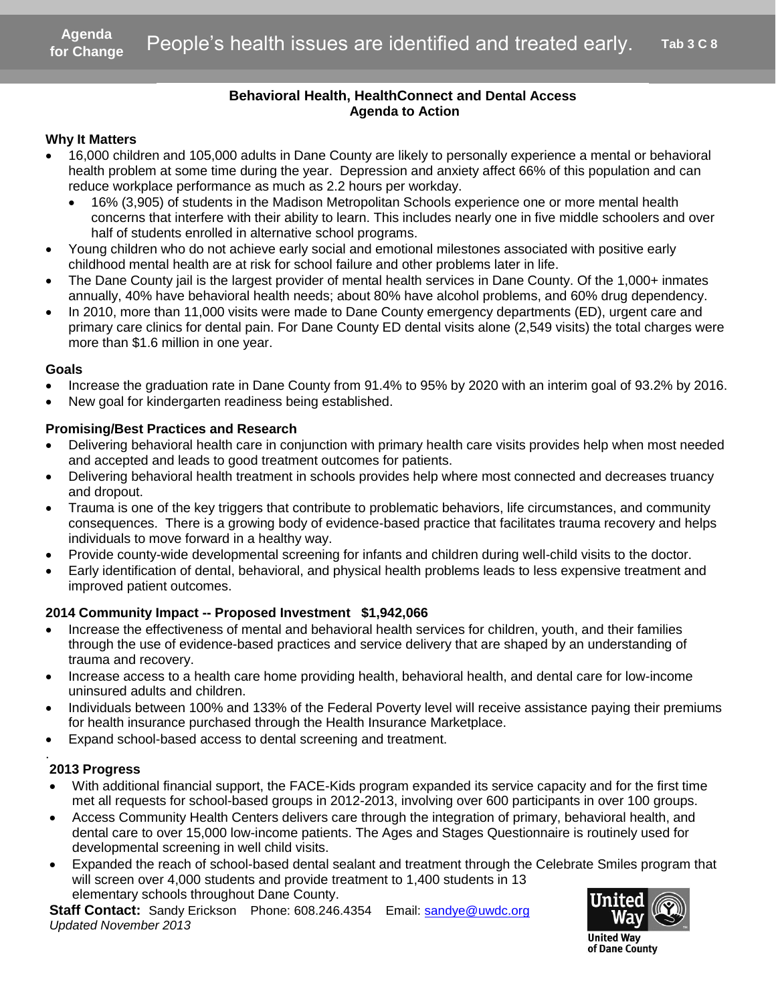### **Behavioral Health, HealthConnect and Dental Access Agenda to Action**

### **Why It Matters**

- 16,000 children and 105,000 adults in Dane County are likely to personally experience a mental or behavioral health problem at some time during the year. Depression and anxiety affect 66% of this population and can reduce workplace performance as much as 2.2 hours per workday.
- 16% (3,905) of students in the Madison Metropolitan Schools experience one or more mental health concerns that interfere with their ability to learn. This includes nearly one in five middle schoolers and over half of students enrolled in alternative school programs. Agen<br>
S<br>
S<br>
Idren and 105,000 adults in Dane County<br>
ilem at some time during the year. Depre<br>
rkplace performance as much as 2.2 hours<br>
3,905) of students in the Madison Metropol<br>
ms that interfere with their ability to l
- Young children who do not achieve early social and emotional milestones associated with positive early childhood mental health are at risk for school failure and other problems later in life.
- The Dane County jail is the largest provider of mental health services in Dane County. Of the 1,000+ inmates annually, 40% have behavioral health needs; about 80% have alcohol problems, and 60% drug dependency.
- In 2010, more than 11,000 visits were made to Dane County emergency departments (ED), urgent care and primary care clinics for dental pain. For Dane County ED dental visits alone (2,549 visits) the total charges were more than \$1.6 million in one year.

#### **Goals**

- Increase the graduation rate in Dane County from 91.4% to 95% by 2020 with an interim goal of 93.2% by 2016.
- New goal for kindergarten readiness being established.

### **Promising/Best Practices and Research**

- Delivering behavioral health care in conjunction with primary health care visits provides help when most needed and accepted and leads to good treatment outcomes for patients.
- Delivering behavioral health treatment in schools provides help where most connected and decreases truancy and dropout.
- Trauma is one of the key triggers that contribute to problematic behaviors, life circumstances, and community consequences. There is a growing body of evidence-based practice that facilitates trauma recovery and helps individuals to move forward in a healthy way.
- Provide county-wide developmental screening for infants and children during well-child visits to the doctor.
- Early identification of dental, behavioral, and physical health problems leads to less expensive treatment and improved patient outcomes.

### **2014 Community Impact -- Proposed Investment \$1,942,066**

- Increase the effectiveness of mental and behavioral health services for children, youth, and their families through the use of evidence-based practices and service delivery that are shaped by an understanding of trauma and recovery.
- Increase access to a health care home providing health, behavioral health, and dental care for low-income uninsured adults and children.
- Individuals between 100% and 133% of the Federal Poverty level will receive assistance paying their premiums for health insurance purchased through the Health Insurance Marketplace.
- Expand school-based access to dental screening and treatment.

### **2013 Progress**

.

- With additional financial support, the FACE-Kids program expanded its service capacity and for the first time met all requests for school-based groups in 2012-2013, involving over 600 participants in over 100 groups.
- Access Community Health Centers delivers care through the integration of primary, behavioral health, and dental care to over 15,000 low-income patients. The Ages and Stages Questionnaire is routinely used for developmental screening in well child visits.
- Expanded the reach of school-based dental sealant and treatment through the Celebrate Smiles program that will screen over 4,000 students and provide treatment to 1,400 students in 13 elementary schools throughout Dane County.

**Staff Contact:** Sandy Erickson Phone: 608.246.4354 Email: [sandye@uwdc.org](mailto:sandye@uwdc.org) *Updated November 2013*



**United Wav** of Dane County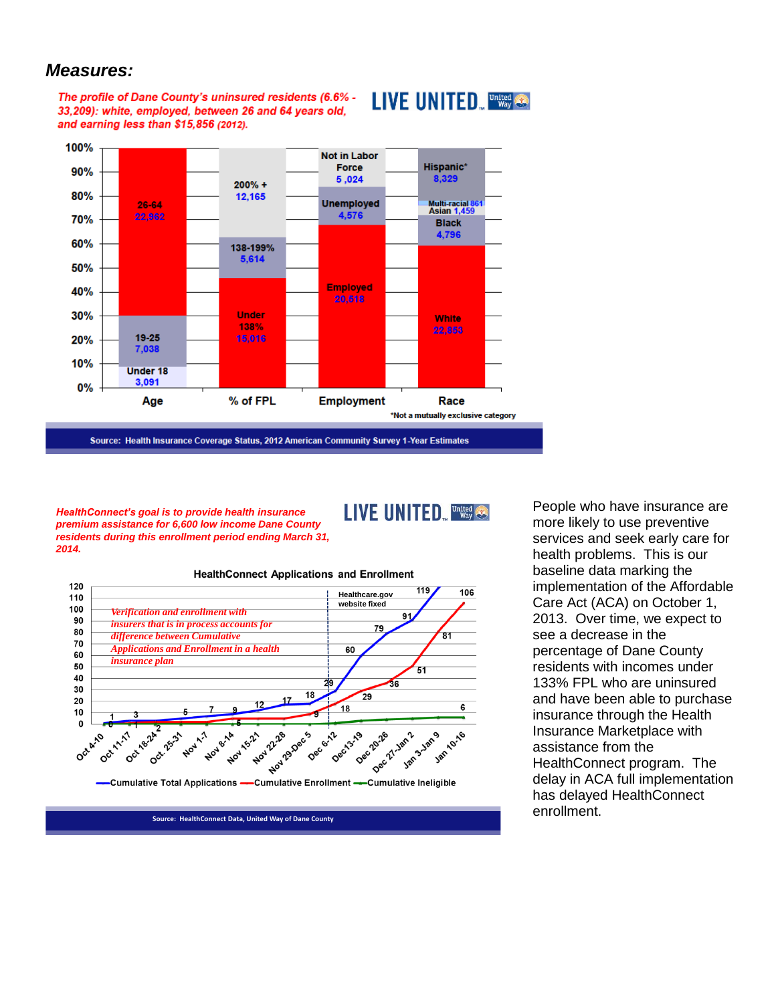### *Measures:*

The profile of Dane County's uninsured residents (6.6% -33.209): white, employed, between 26 and 64 years old. and earning less than \$15,856 (2012).





*HealthConnect's goal is to provide health insurance premium assistance for 6,600 low income Dane County residents during this enrollment period ending March 31, 2014.* 

-Cumulative Total Applications -

LIVE UNITED. United



**HealthConnect Applications and Enrollment** 

-Cumulative Enrollment -- Cumulative Ineligible

**Source: HealthConnect Data, United Way of Dane County**

People who have insurance are more likely to use preventive services and seek early care for health problems. This is our baseline data marking the implementation of the Affordable Care Act (ACA) on October 1, 2013. Over time, we expect to see a decrease in the percentage of Dane County residents with incomes under 133% FPL who are uninsured and have been able to purchase insurance through the Health Insurance Marketplace with assistance from the HealthConnect program. The delay in ACA full implementation has delayed HealthConnect enrollment.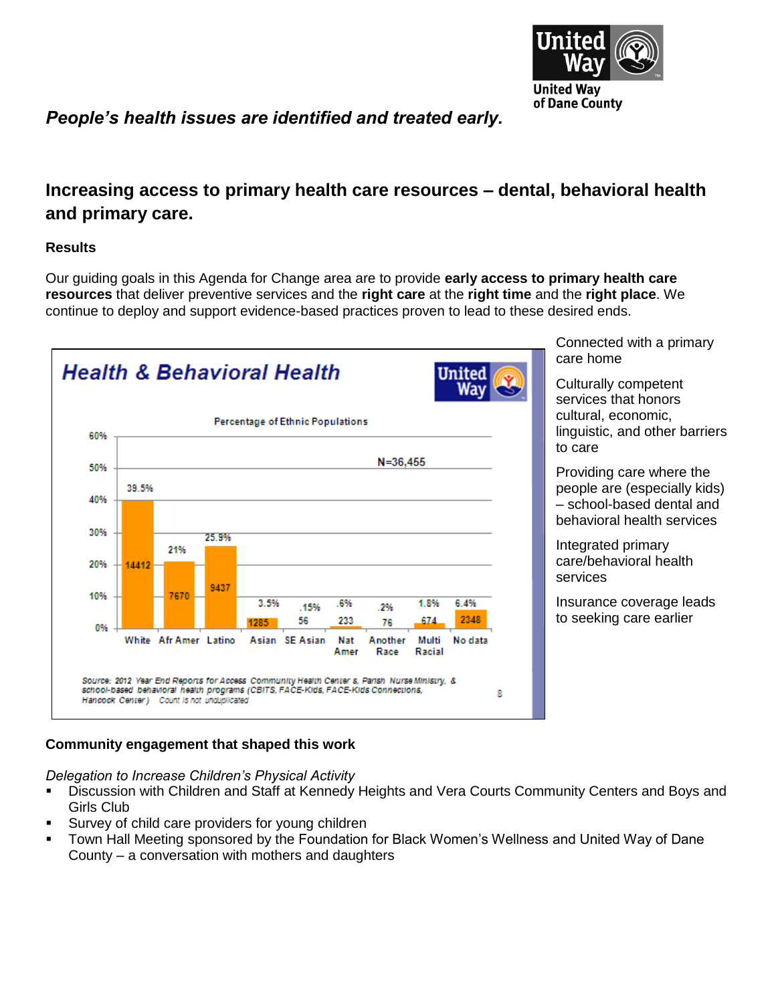

*People's health issues are identified and treated early.*

## **Increasing access to primary health care resources – dental, behavioral health and primary care.**

### **Results**

Our guiding goals in this Agenda for Change area are to provide **early access to primary health care resources** that deliver preventive services and the **right care** at the **right time** and the **right place**. We continue to deploy and support evidence-based practices proven to lead to these desired ends.



Connected with a primary care home

Culturally competent services that honors cultural, economic, linguistic, and other barriers to care

Providing care where the people are (especially kids) – school-based dental and behavioral health services

Integrated primary care/behavioral health services

Insurance coverage leads to seeking care earlier

## **Community engagement that shaped this work**

*Delegation to Increase Children's Physical Activity*

- Discussion with Children and Staff at Kennedy Heights and Vera Courts Community Centers and Boys and Girls Club
- Survey of child care providers for young children
- Town Hall Meeting sponsored by the Foundation for Black Women's Wellness and United Way of Dane County – a conversation with mothers and daughters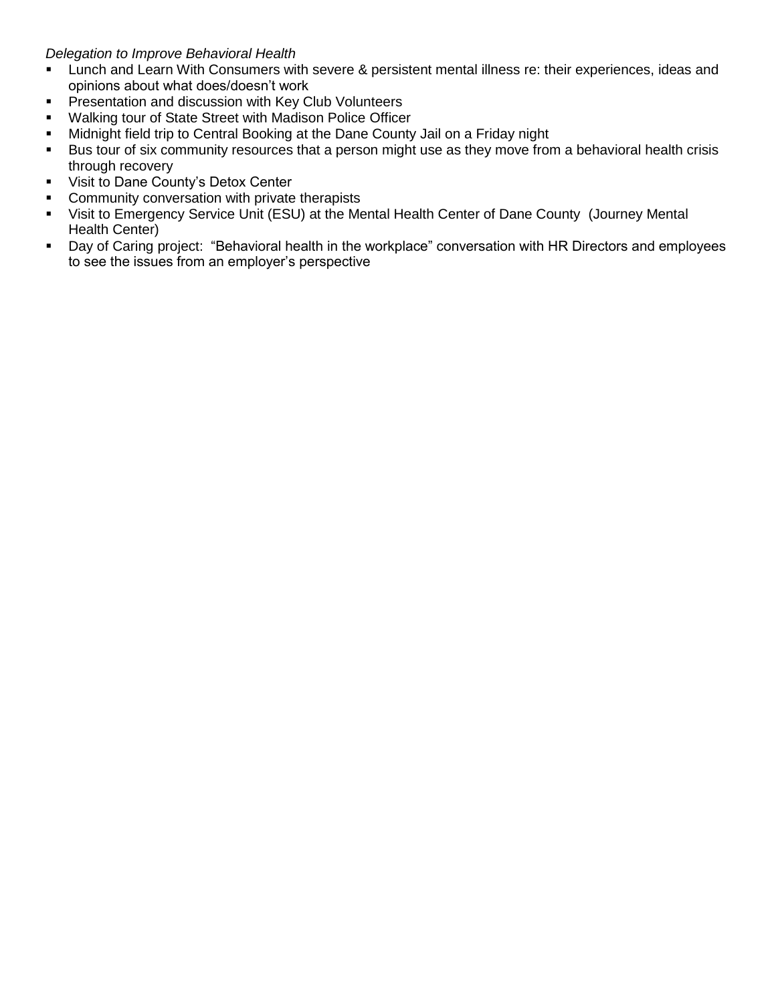### *Delegation to Improve Behavioral Health*

- Lunch and Learn With Consumers with severe & persistent mental illness re: their experiences, ideas and opinions about what does/doesn't work
- **Presentation and discussion with Key Club Volunteers**
- **Walking tour of State Street with Madison Police Officer**
- **Midnight field trip to Central Booking at the Dane County Jail on a Friday night**
- Bus tour of six community resources that a person might use as they move from a behavioral health crisis through recovery
- **Visit to Dane County's Detox Center**
- Community conversation with private therapists
- Visit to Emergency Service Unit (ESU) at the Mental Health Center of Dane County (Journey Mental Health Center)
- Day of Caring project: "Behavioral health in the workplace" conversation with HR Directors and employees to see the issues from an employer's perspective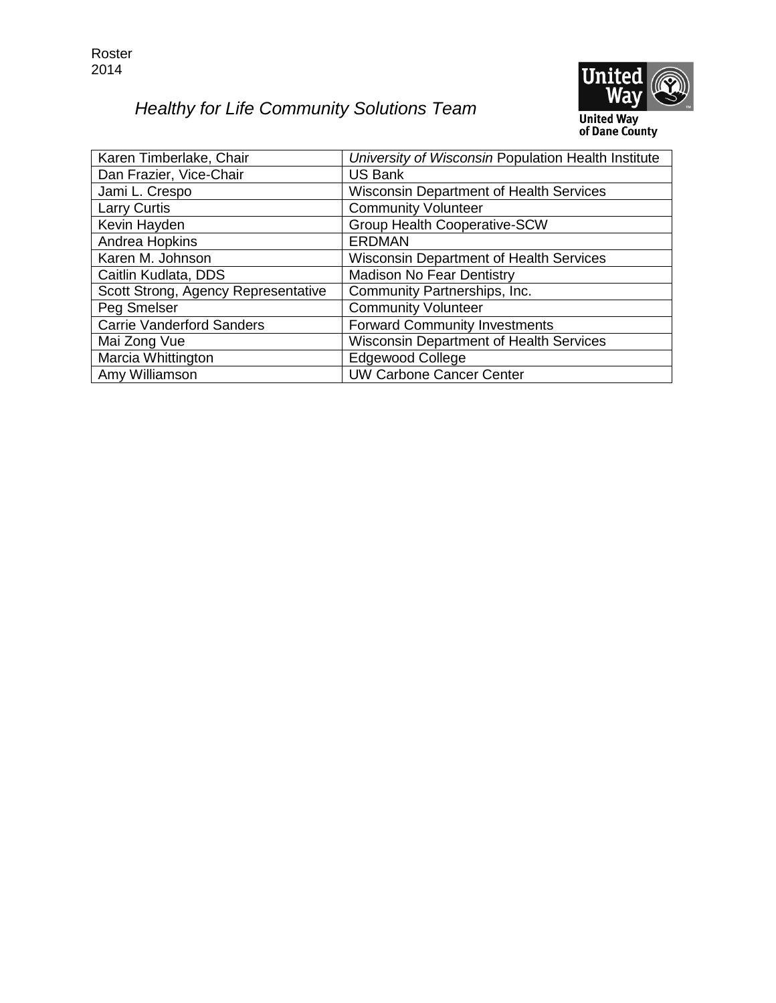Roster 2014

# *Healthy for Life Community Solutions Team*



**United Way**<br>of Dane County

| Karen Timberlake, Chair             | University of Wisconsin Population Health Institute |
|-------------------------------------|-----------------------------------------------------|
| Dan Frazier, Vice-Chair             | <b>US Bank</b>                                      |
| Jami L. Crespo                      | <b>Wisconsin Department of Health Services</b>      |
| <b>Larry Curtis</b>                 | <b>Community Volunteer</b>                          |
| Kevin Hayden                        | <b>Group Health Cooperative-SCW</b>                 |
| Andrea Hopkins                      | <b>ERDMAN</b>                                       |
| Karen M. Johnson                    | <b>Wisconsin Department of Health Services</b>      |
| Caitlin Kudlata, DDS                | <b>Madison No Fear Dentistry</b>                    |
| Scott Strong, Agency Representative | Community Partnerships, Inc.                        |
| Peg Smelser                         | <b>Community Volunteer</b>                          |
| <b>Carrie Vanderford Sanders</b>    | <b>Forward Community Investments</b>                |
| Mai Zong Vue                        | <b>Wisconsin Department of Health Services</b>      |
| Marcia Whittington                  | <b>Edgewood College</b>                             |
| Amy Williamson                      | <b>UW Carbone Cancer Center</b>                     |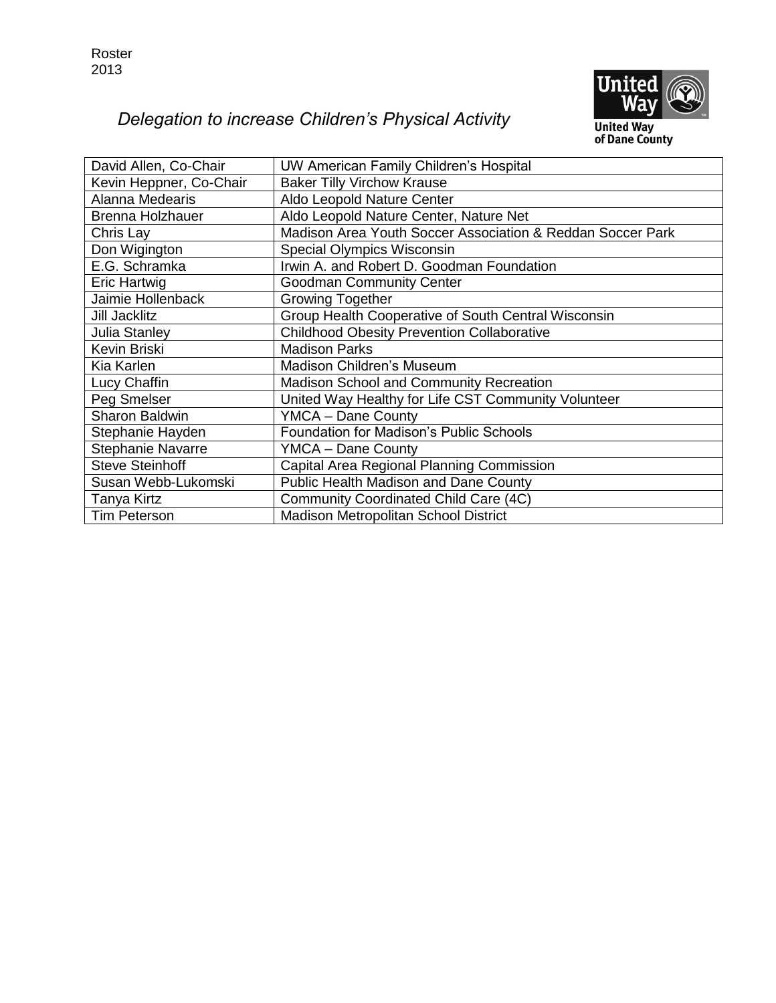

# *Delegation to increase Children's Physical Activity*

**United Way<br>of Dane County** 

| David Allen, Co-Chair    | UW American Family Children's Hospital                     |
|--------------------------|------------------------------------------------------------|
| Kevin Heppner, Co-Chair  | <b>Baker Tilly Virchow Krause</b>                          |
| Alanna Medearis          | Aldo Leopold Nature Center                                 |
| <b>Brenna Holzhauer</b>  | Aldo Leopold Nature Center, Nature Net                     |
| Chris Lay                | Madison Area Youth Soccer Association & Reddan Soccer Park |
| Don Wigington            | Special Olympics Wisconsin                                 |
| E.G. Schramka            | Irwin A. and Robert D. Goodman Foundation                  |
| Eric Hartwig             | <b>Goodman Community Center</b>                            |
| Jaimie Hollenback        | <b>Growing Together</b>                                    |
| Jill Jacklitz            | Group Health Cooperative of South Central Wisconsin        |
| <b>Julia Stanley</b>     | <b>Childhood Obesity Prevention Collaborative</b>          |
| Kevin Briski             | <b>Madison Parks</b>                                       |
| Kia Karlen               | Madison Children's Museum                                  |
| Lucy Chaffin             | Madison School and Community Recreation                    |
| Peg Smelser              | United Way Healthy for Life CST Community Volunteer        |
| <b>Sharon Baldwin</b>    | <b>YMCA - Dane County</b>                                  |
| Stephanie Hayden         | <b>Foundation for Madison's Public Schools</b>             |
| <b>Stephanie Navarre</b> | YMCA - Dane County                                         |
| <b>Steve Steinhoff</b>   | Capital Area Regional Planning Commission                  |
| Susan Webb-Lukomski      | <b>Public Health Madison and Dane County</b>               |
| Tanya Kirtz              | Community Coordinated Child Care (4C)                      |
| <b>Tim Peterson</b>      | <b>Madison Metropolitan School District</b>                |